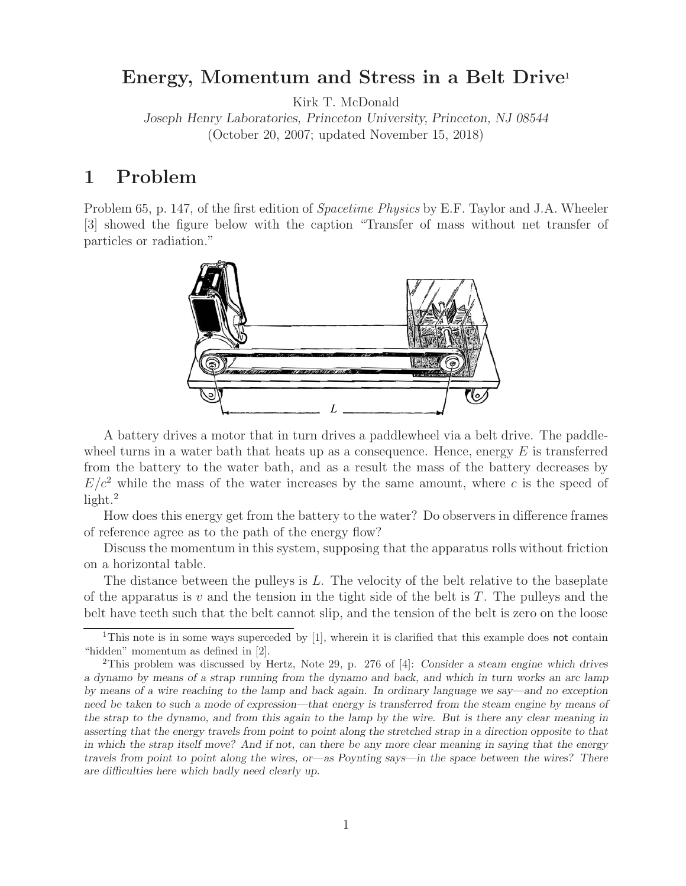# **Energy, Momentum and Stress in a Belt Drive**<sup>1</sup>

Kirk T. McDonald

*Joseph Henry Laboratories, Princeton University, Princeton, NJ 08544* (October 20, 2007; updated November 15, 2018)

# **1 Problem**

Problem 65, p. 147, of the first edition of *Spacetime Physics* by E.F. Taylor and J.A. Wheeler [3] showed the figure below with the caption "Transfer of mass without net transfer of particles or radiation."



A battery drives a motor that in turn drives a paddlewheel via a belt drive. The paddlewheel turns in a water bath that heats up as a consequence. Hence, energy  $E$  is transferred from the battery to the water bath, and as a result the mass of the battery decreases by  $E/c<sup>2</sup>$  while the mass of the water increases by the same amount, where c is the speed of  $light.^2$ 

How does this energy get from the battery to the water? Do observers in difference frames of reference agree as to the path of the energy flow?

Discuss the momentum in this system, supposing that the apparatus rolls without friction on a horizontal table.

The distance between the pulleys is  $L$ . The velocity of the belt relative to the baseplate of the apparatus is v and the tension in the tight side of the belt is  $T$ . The pulleys and the belt have teeth such that the belt cannot slip, and the tension of the belt is zero on the loose

<sup>&</sup>lt;sup>1</sup>This note is in some ways superceded by [1], wherein it is clarified that this example does not contain "hidden" momentum as defined in [2].

<sup>2</sup>This problem was discussed by Hertz, Note 29, p. 276 of [4]: *Consider a steam engine which drives a dynamo by means of a strap running from the dynamo and back, and which in turn works an arc lamp by means of a wire reaching to the lamp and back again. In ordinary language we say—and no exception need be taken to such a mode of expression—that energy is transferred from the steam engine by means of the strap to the dynamo, and from this again to the lamp by the wire. But is there any clear meaning in asserting that the energy travels from point to point along the stretched strap in a direction opposite to that in which the strap itself move? And if not, can there be any more clear meaning in saying that the energy travels from point to point along the wires, or—as Poynting says—in the space between the wires? There are difficulties here which badly need clearly up.*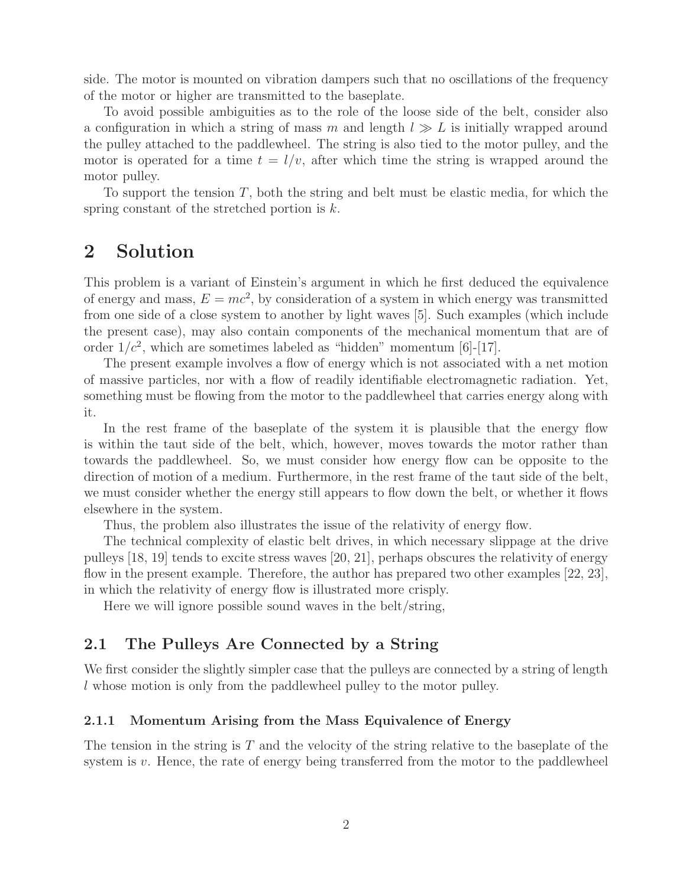side. The motor is mounted on vibration dampers such that no oscillations of the frequency of the motor or higher are transmitted to the baseplate.

To avoid possible ambiguities as to the role of the loose side of the belt, consider also a configuration in which a string of mass m and length  $l \gg L$  is initially wrapped around the pulley attached to the paddlewheel. The string is also tied to the motor pulley, and the motor is operated for a time  $t = l/v$ , after which time the string is wrapped around the motor pulley.

To support the tension  $T$ , both the string and belt must be elastic media, for which the spring constant of the stretched portion is  $k$ .

## **2 Solution**

This problem is a variant of Einstein's argument in which he first deduced the equivalence of energy and mass,  $E = mc^2$ , by consideration of a system in which energy was transmitted from one side of a close system to another by light waves [5]. Such examples (which include the present case), may also contain components of the mechanical momentum that are of order  $1/c^2$ , which are sometimes labeled as "hidden" momentum [6]-[17].

The present example involves a flow of energy which is not associated with a net motion of massive particles, nor with a flow of readily identifiable electromagnetic radiation. Yet, something must be flowing from the motor to the paddlewheel that carries energy along with it.

In the rest frame of the baseplate of the system it is plausible that the energy flow is within the taut side of the belt, which, however, moves towards the motor rather than towards the paddlewheel. So, we must consider how energy flow can be opposite to the direction of motion of a medium. Furthermore, in the rest frame of the taut side of the belt, we must consider whether the energy still appears to flow down the belt, or whether it flows elsewhere in the system.

Thus, the problem also illustrates the issue of the relativity of energy flow.

The technical complexity of elastic belt drives, in which necessary slippage at the drive pulleys [18, 19] tends to excite stress waves [20, 21], perhaps obscures the relativity of energy flow in the present example. Therefore, the author has prepared two other examples [22, 23], in which the relativity of energy flow is illustrated more crisply.

Here we will ignore possible sound waves in the belt/string,

### **2.1 The Pulleys Are Connected by a String**

We first consider the slightly simpler case that the pulleys are connected by a string of length l whose motion is only from the paddlewheel pulley to the motor pulley.

#### **2.1.1 Momentum Arising from the Mass Equivalence of Energy**

The tension in the string is  $T$  and the velocity of the string relative to the baseplate of the system is  $v$ . Hence, the rate of energy being transferred from the motor to the paddlewheel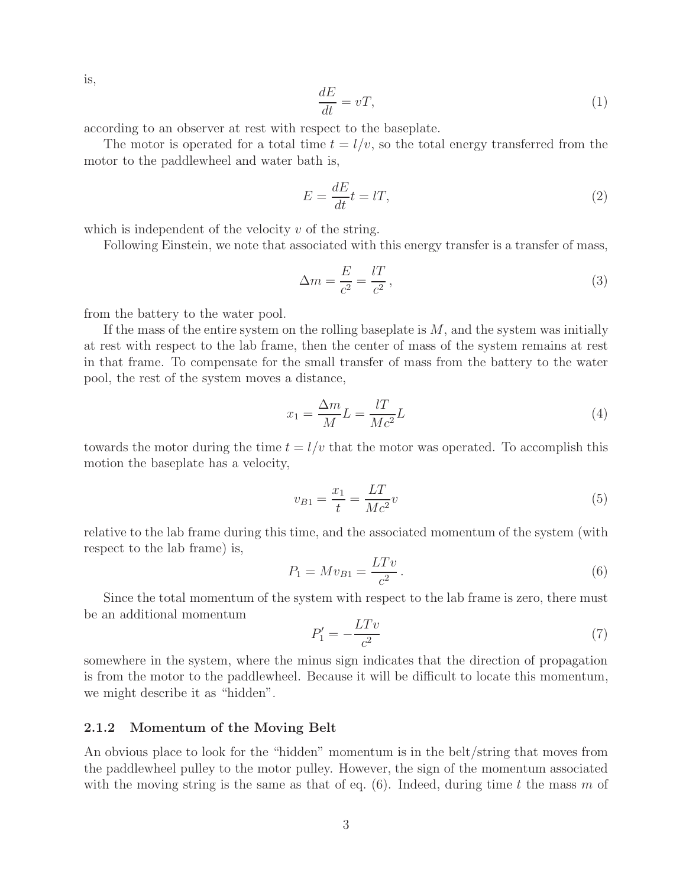is,

$$
\frac{dE}{dt} = vT,\t\t(1)
$$

according to an observer at rest with respect to the baseplate.

The motor is operated for a total time  $t = l/v$ , so the total energy transferred from the motor to the paddlewheel and water bath is,

$$
E = \frac{dE}{dt}t = lT,\t\t(2)
$$

which is independent of the velocity  $v$  of the string.

Following Einstein, we note that associated with this energy transfer is a transfer of mass,

$$
\Delta m = \frac{E}{c^2} = \frac{l}{c^2},\tag{3}
$$

from the battery to the water pool.

If the mass of the entire system on the rolling baseplate is  $M$ , and the system was initially at rest with respect to the lab frame, then the center of mass of the system remains at rest in that frame. To compensate for the small transfer of mass from the battery to the water pool, the rest of the system moves a distance,

$$
x_1 = \frac{\Delta m}{M} L = \frac{l}{Mc^2} L \tag{4}
$$

towards the motor during the time  $t = l/v$  that the motor was operated. To accomplish this motion the baseplate has a velocity,

$$
v_{B1} = \frac{x_1}{t} = \frac{LT}{Mc^2}v
$$
\n(5)

relative to the lab frame during this time, and the associated momentum of the system (with respect to the lab frame) is,

$$
P_1 = Mv_{B1} = \frac{LTv}{c^2}.
$$
\n(6)

Since the total momentum of the system with respect to the lab frame is zero, there must be an additional momentum

$$
P_1' = -\frac{LTv}{c^2} \tag{7}
$$

somewhere in the system, where the minus sign indicates that the direction of propagation is from the motor to the paddlewheel. Because it will be difficult to locate this momentum, we might describe it as "hidden".

#### **2.1.2 Momentum of the Moving Belt**

An obvious place to look for the "hidden" momentum is in the belt/string that moves from the paddlewheel pulley to the motor pulley. However, the sign of the momentum associated with the moving string is the same as that of eq.  $(6)$ . Indeed, during time t the mass m of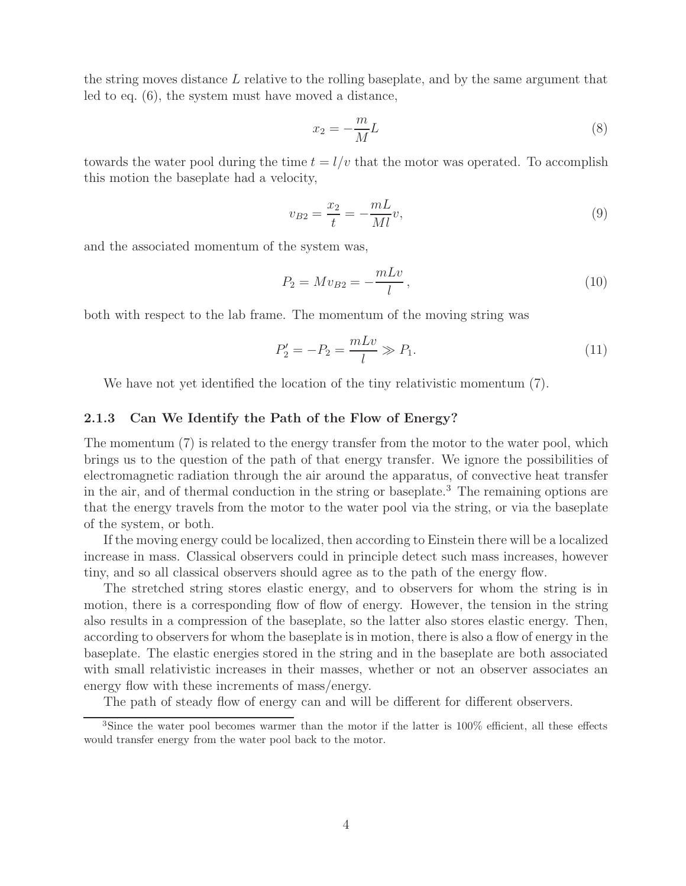the string moves distance L relative to the rolling baseplate, and by the same argument that led to eq. (6), the system must have moved a distance,

$$
x_2 = -\frac{m}{M}L\tag{8}
$$

towards the water pool during the time  $t = l/v$  that the motor was operated. To accomplish this motion the baseplate had a velocity,

$$
v_{B2} = \frac{x_2}{t} = -\frac{mL}{Ml}v,\tag{9}
$$

and the associated momentum of the system was,

$$
P_2 = Mv_{B2} = -\frac{mLv}{l},
$$
\n(10)

both with respect to the lab frame. The momentum of the moving string was

$$
P_2' = -P_2 = \frac{mLv}{l} \gg P_1.
$$
\n(11)

We have not yet identified the location of the tiny relativistic momentum  $(7)$ .

#### **2.1.3 Can We Identify the Path of the Flow of Energy?**

The momentum (7) is related to the energy transfer from the motor to the water pool, which brings us to the question of the path of that energy transfer. We ignore the possibilities of electromagnetic radiation through the air around the apparatus, of convective heat transfer in the air, and of thermal conduction in the string or baseplate.<sup>3</sup> The remaining options are that the energy travels from the motor to the water pool via the string, or via the baseplate of the system, or both.

If the moving energy could be localized, then according to Einstein there will be a localized increase in mass. Classical observers could in principle detect such mass increases, however tiny, and so all classical observers should agree as to the path of the energy flow.

The stretched string stores elastic energy, and to observers for whom the string is in motion, there is a corresponding flow of flow of energy. However, the tension in the string also results in a compression of the baseplate, so the latter also stores elastic energy. Then, according to observers for whom the baseplate is in motion, there is also a flow of energy in the baseplate. The elastic energies stored in the string and in the baseplate are both associated with small relativistic increases in their masses, whether or not an observer associates an energy flow with these increments of mass/energy.

The path of steady flow of energy can and will be different for different observers.

<sup>&</sup>lt;sup>3</sup>Since the water pool becomes warmer than the motor if the latter is 100% efficient, all these effects would transfer energy from the water pool back to the motor.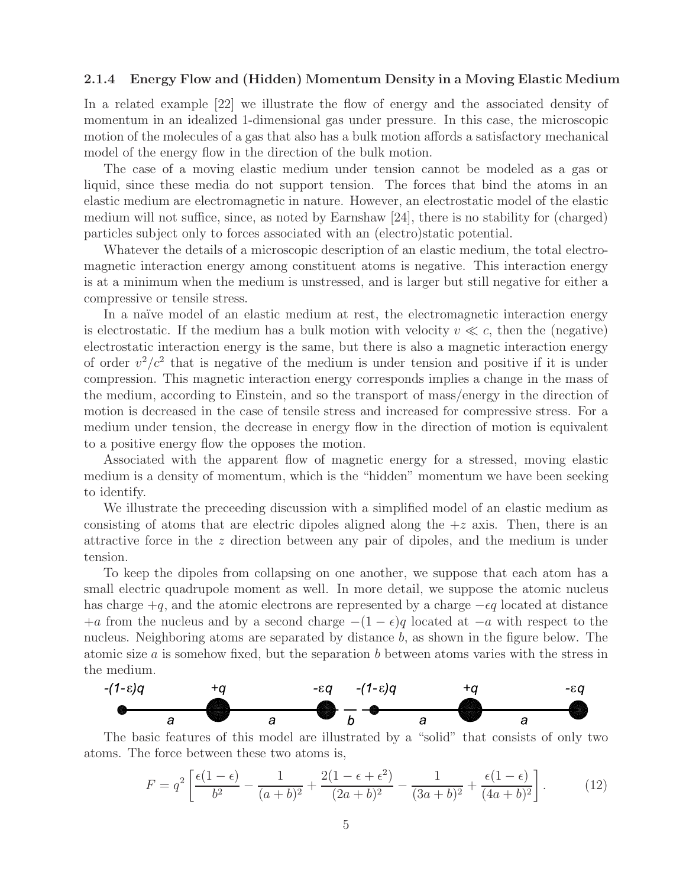#### **2.1.4 Energy Flow and (Hidden) Momentum Density in a Moving Elastic Medium**

In a related example [22] we illustrate the flow of energy and the associated density of momentum in an idealized 1-dimensional gas under pressure. In this case, the microscopic motion of the molecules of a gas that also has a bulk motion affords a satisfactory mechanical model of the energy flow in the direction of the bulk motion.

The case of a moving elastic medium under tension cannot be modeled as a gas or liquid, since these media do not support tension. The forces that bind the atoms in an elastic medium are electromagnetic in nature. However, an electrostatic model of the elastic medium will not suffice, since, as noted by Earnshaw [24], there is no stability for (charged) particles subject only to forces associated with an (electro)static potential.

Whatever the details of a microscopic description of an elastic medium, the total electromagnetic interaction energy among constituent atoms is negative. This interaction energy is at a minimum when the medium is unstressed, and is larger but still negative for either a compressive or tensile stress.

In a naïve model of an elastic medium at rest, the electromagnetic interaction energy is electrostatic. If the medium has a bulk motion with velocity  $v \ll c$ , then the (negative) electrostatic interaction energy is the same, but there is also a magnetic interaction energy of order  $v^2/c^2$  that is negative of the medium is under tension and positive if it is under compression. This magnetic interaction energy corresponds implies a change in the mass of the medium, according to Einstein, and so the transport of mass/energy in the direction of motion is decreased in the case of tensile stress and increased for compressive stress. For a medium under tension, the decrease in energy flow in the direction of motion is equivalent to a positive energy flow the opposes the motion.

Associated with the apparent flow of magnetic energy for a stressed, moving elastic medium is a density of momentum, which is the "hidden" momentum we have been seeking to identify.

We illustrate the preceeding discussion with a simplified model of an elastic medium as consisting of atoms that are electric dipoles aligned along the  $+z$  axis. Then, there is an attractive force in the z direction between any pair of dipoles, and the medium is under tension.

To keep the dipoles from collapsing on one another, we suppose that each atom has a small electric quadrupole moment as well. In more detail, we suppose the atomic nucleus has charge  $+q$ , and the atomic electrons are represented by a charge  $-eq$  located at distance +a from the nucleus and by a second charge  $-(1 - \epsilon)q$  located at  $-a$  with respect to the nucleus. Neighboring atoms are separated by distance b, as shown in the figure below. The atomic size  $a$  is somehow fixed, but the separation  $b$  between atoms varies with the stress in the medium.



The basic features of this model are illustrated by a "solid" that consists of only two atoms. The force between these two atoms is,

$$
F = q^2 \left[ \frac{\epsilon (1 - \epsilon)}{b^2} - \frac{1}{(a + b)^2} + \frac{2(1 - \epsilon + \epsilon^2)}{(2a + b)^2} - \frac{1}{(3a + b)^2} + \frac{\epsilon (1 - \epsilon)}{(4a + b)^2} \right].
$$
 (12)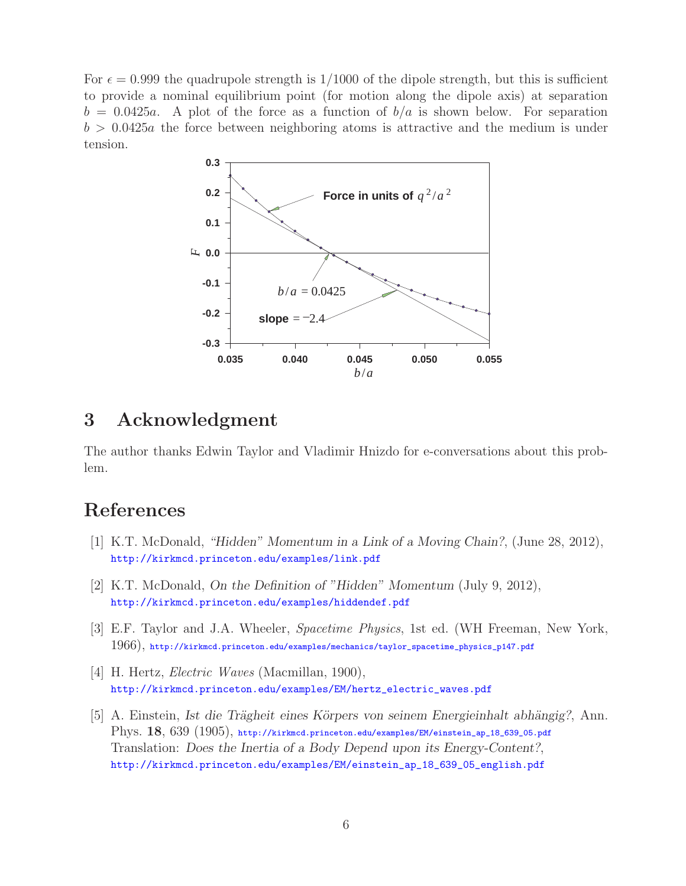For  $\epsilon = 0.999$  the quadrupole strength is 1/1000 of the dipole strength, but this is sufficient to provide a nominal equilibrium point (for motion along the dipole axis) at separation  $b = 0.0425a$ . A plot of the force as a function of  $b/a$  is shown below. For separation  $b > 0.0425a$  the force between neighboring atoms is attractive and the medium is under tension.



# **3 Acknowledgment**

The author thanks Edwin Taylor and Vladimir Hnizdo for e-conversations about this problem.

# **References**

- [1] K.T. McDonald, *"Hidden" Momentum in a Link of a Moving Chain?*, (June 28, 2012), http://kirkmcd.princeton.edu/examples/link.pdf
- [2] K.T. McDonald, *On the Definition of "Hidden" Momentum* (July 9, 2012), http://kirkmcd.princeton.edu/examples/hiddendef.pdf
- [3] E.F. Taylor and J.A. Wheeler, *Spacetime Physics*, 1st ed. (WH Freeman, New York, 1966), http://kirkmcd.princeton.edu/examples/mechanics/taylor\_spacetime\_physics\_p147.pdf
- [4] H. Hertz, *Electric Waves* (Macmillan, 1900), http://kirkmcd.princeton.edu/examples/EM/hertz\_electric\_waves.pdf
- [5] A. Einstein, *Ist die Trägheit eines Körpers von seinem Energieinhalt abhängig?*, Ann. Phys. **18**, 639 (1905), http://kirkmcd.princeton.edu/examples/EM/einstein\_ap\_18\_639\_05.pdf Translation: *Does the Inertia of a Body Depend upon its Energy-Content?*, http://kirkmcd.princeton.edu/examples/EM/einstein\_ap\_18\_639\_05\_english.pdf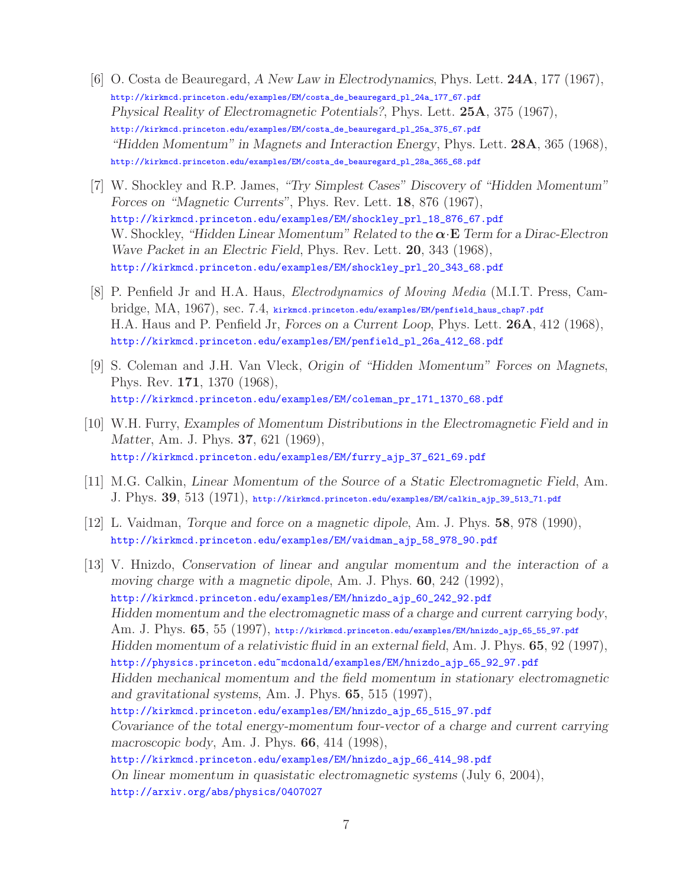- [6] O. Costa de Beauregard, *A New Law in Electrodynamics*, Phys. Lett. **24A**, 177 (1967), http://kirkmcd.princeton.edu/examples/EM/costa\_de\_beauregard\_pl\_24a\_177\_67.pdf *Physical Reality of Electromagnetic Potentials?*, Phys. Lett. **25A**, 375 (1967), http://kirkmcd.princeton.edu/examples/EM/costa\_de\_beauregard\_pl\_25a\_375\_67.pdf *"Hidden Momentum" in Magnets and Interaction Energy*, Phys. Lett. **28A**, 365 (1968), http://kirkmcd.princeton.edu/examples/EM/costa\_de\_beauregard\_pl\_28a\_365\_68.pdf
- [7] W. Shockley and R.P. James, *"Try Simplest Cases" Discovery of "Hidden Momentum" Forces on "Magnetic Currents"*, Phys. Rev. Lett. **18**, 876 (1967), http://kirkmcd.princeton.edu/examples/EM/shockley\_prl\_18\_876\_67.pdf W. Shockley, *"Hidden Linear Momentum" Related to the α*·**E** *Term for a Dirac-Electron Wave Packet in an Electric Field*, Phys. Rev. Lett. **20**, 343 (1968), http://kirkmcd.princeton.edu/examples/EM/shockley\_prl\_20\_343\_68.pdf
- [8] P. Penfield Jr and H.A. Haus, *Electrodynamics of Moving Media* (M.I.T. Press, Cambridge, MA, 1967), sec. 7.4, kirkmcd.princeton.edu/examples/EM/penfield\_haus\_chap7.pdf H.A. Haus and P. Penfield Jr, *Forces on a Current Loop*, Phys. Lett. **26A**, 412 (1968), http://kirkmcd.princeton.edu/examples/EM/penfield\_pl\_26a\_412\_68.pdf
- [9] S. Coleman and J.H. Van Vleck, *Origin of "Hidden Momentum" Forces on Magnets*, Phys. Rev. **171**, 1370 (1968), http://kirkmcd.princeton.edu/examples/EM/coleman\_pr\_171\_1370\_68.pdf
- [10] W.H. Furry, *Examples of Momentum Distributions in the Electromagnetic Field and in Matter*, Am. J. Phys. **37**, 621 (1969), http://kirkmcd.princeton.edu/examples/EM/furry\_ajp\_37\_621\_69.pdf
- [11] M.G. Calkin, *Linear Momentum of the Source of a Static Electromagnetic Field*, Am. J. Phys. **39**, 513 (1971), http://kirkmcd.princeton.edu/examples/EM/calkin\_ajp\_39\_513\_71.pdf
- [12] L. Vaidman, *Torque and force on a magnetic dipole*, Am. J. Phys. **58**, 978 (1990), http://kirkmcd.princeton.edu/examples/EM/vaidman\_ajp\_58\_978\_90.pdf
- [13] V. Hnizdo, *Conservation of linear and angular momentum and the interaction of a moving charge with a magnetic dipole*, Am. J. Phys. **60**, 242 (1992), http://kirkmcd.princeton.edu/examples/EM/hnizdo\_ajp\_60\_242\_92.pdf *Hidden momentum and the electromagnetic mass of a charge and current carrying body*, Am. J. Phys. **65**, 55 (1997), http://kirkmcd.princeton.edu/examples/EM/hnizdo\_ajp\_65\_55\_97.pdf *Hidden momentum of a relativistic fluid in an external field*, Am. J. Phys. **65**, 92 (1997), http://physics.princeton.edu~mcdonald/examples/EM/hnizdo\_ajp\_65\_92\_97.pdf *Hidden mechanical momentum and the field momentum in stationary electromagnetic and gravitational systems*, Am. J. Phys. **65**, 515 (1997), http://kirkmcd.princeton.edu/examples/EM/hnizdo\_ajp\_65\_515\_97.pdf *Covariance of the total energy-momentum four-vector of a charge and current carrying macroscopic body*, Am. J. Phys. **66**, 414 (1998), http://kirkmcd.princeton.edu/examples/EM/hnizdo\_ajp\_66\_414\_98.pdf *On linear momentum in quasistatic electromagnetic systems* (July 6, 2004), http://arxiv.org/abs/physics/0407027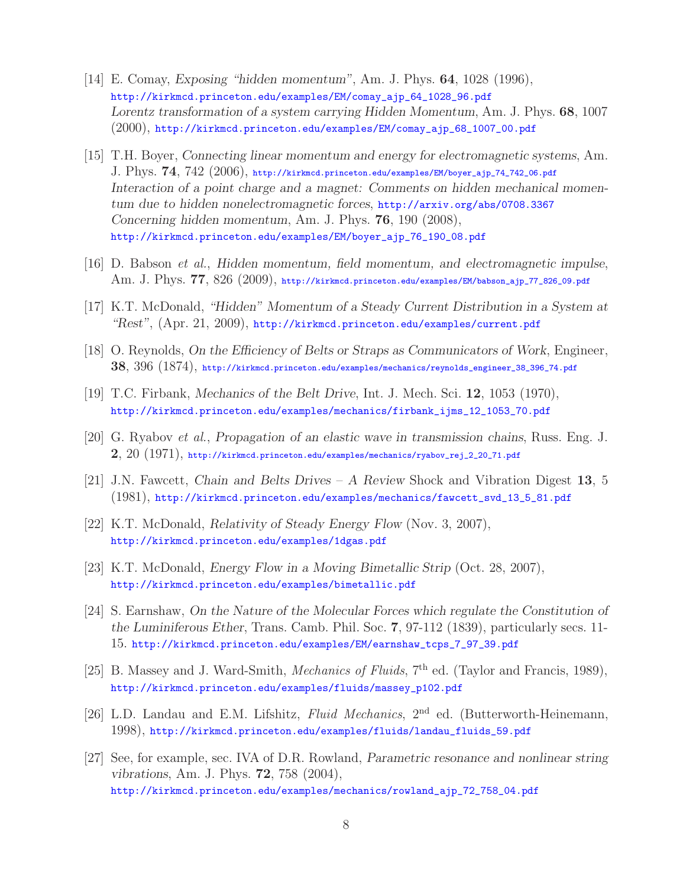- [14] E. Comay, *Exposing "hidden momentum"*, Am. J. Phys. **64**, 1028 (1996), http://kirkmcd.princeton.edu/examples/EM/comay\_ajp\_64\_1028\_96.pdf *Lorentz transformation of a system carrying Hidden Momentum*, Am. J. Phys. **68**, 1007 (2000), http://kirkmcd.princeton.edu/examples/EM/comay\_ajp\_68\_1007\_00.pdf
- [15] T.H. Boyer, *Connecting linear momentum and energy for electromagnetic systems*, Am. J. Phys. **74**, 742 (2006), http://kirkmcd.princeton.edu/examples/EM/boyer\_ajp\_74\_742\_06.pdf *Interaction of a point charge and a magnet: Comments on hidden mechanical momentum due to hidden nonelectromagnetic forces*, http://arxiv.org/abs/0708.3367 *Concerning hidden momentum*, Am. J. Phys. **76**, 190 (2008), http://kirkmcd.princeton.edu/examples/EM/boyer\_ajp\_76\_190\_08.pdf
- [16] D. Babson *et al.*, *Hidden momentum, field momentum, and electromagnetic impulse*, Am. J. Phys. **77**, 826 (2009), http://kirkmcd.princeton.edu/examples/EM/babson\_ajp\_77\_826\_09.pdf
- [17] K.T. McDonald, *"Hidden" Momentum of a Steady Current Distribution in a System at "Rest"*, (Apr. 21, 2009), http://kirkmcd.princeton.edu/examples/current.pdf
- [18] O. Reynolds, *On the Efficiency of Belts or Straps as Communicators of Work*, Engineer, **38**, 396 (1874), http://kirkmcd.princeton.edu/examples/mechanics/reynolds\_engineer\_38\_396\_74.pdf
- [19] T.C. Firbank, *Mechanics of the Belt Drive*, Int. J. Mech. Sci. **12**, 1053 (1970), http://kirkmcd.princeton.edu/examples/mechanics/firbank\_ijms\_12\_1053\_70.pdf
- [20] G. Ryabov *et al.*, *Propagation of an elastic wave in transmission chains*, Russ. Eng. J. **2**, 20 (1971), http://kirkmcd.princeton.edu/examples/mechanics/ryabov\_rej\_2\_20\_71.pdf
- [21] J.N. Fawcett, *Chain and Belts Drives A Review* Shock and Vibration Digest **13**, 5 (1981), http://kirkmcd.princeton.edu/examples/mechanics/fawcett\_svd\_13\_5\_81.pdf
- [22] K.T. McDonald, *Relativity of Steady Energy Flow* (Nov. 3, 2007), http://kirkmcd.princeton.edu/examples/1dgas.pdf
- [23] K.T. McDonald, *Energy Flow in a Moving Bimetallic Strip* (Oct. 28, 2007), http://kirkmcd.princeton.edu/examples/bimetallic.pdf
- [24] S. Earnshaw, *On the Nature of the Molecular Forces which regulate the Constitution of the Luminiferous Ether*, Trans. Camb. Phil. Soc. **7**, 97-112 (1839), particularly secs. 11- 15. http://kirkmcd.princeton.edu/examples/EM/earnshaw\_tcps\_7\_97\_39.pdf
- [25] B. Massey and J. Ward-Smith, *Mechanics of Fluids*, 7<sup>th</sup> ed. (Taylor and Francis, 1989), http://kirkmcd.princeton.edu/examples/fluids/massey\_p102.pdf
- [26] L.D. Landau and E.M. Lifshitz, *Fluid Mechanics*, 2nd ed. (Butterworth-Heinemann, 1998), http://kirkmcd.princeton.edu/examples/fluids/landau\_fluids\_59.pdf
- [27] See, for example, sec. IVA of D.R. Rowland, *Parametric resonance and nonlinear string vibrations*, Am. J. Phys. **72**, 758 (2004), http://kirkmcd.princeton.edu/examples/mechanics/rowland\_ajp\_72\_758\_04.pdf